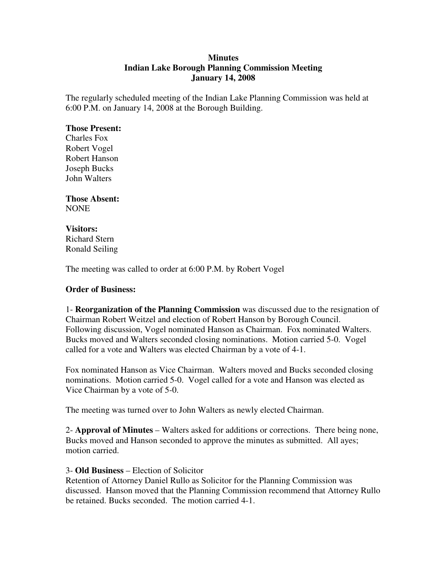### **Minutes Indian Lake Borough Planning Commission Meeting January 14, 2008**

The regularly scheduled meeting of the Indian Lake Planning Commission was held at 6:00 P.M. on January 14, 2008 at the Borough Building.

#### **Those Present:**

Charles Fox Robert Vogel Robert Hanson Joseph Bucks John Walters

**Those Absent:** NONE

# **Visitors:**

Richard Stern Ronald Seiling

The meeting was called to order at 6:00 P.M. by Robert Vogel

### **Order of Business:**

1- **Reorganization of the Planning Commission** was discussed due to the resignation of Chairman Robert Weitzel and election of Robert Hanson by Borough Council. Following discussion, Vogel nominated Hanson as Chairman. Fox nominated Walters. Bucks moved and Walters seconded closing nominations. Motion carried 5-0. Vogel called for a vote and Walters was elected Chairman by a vote of 4-1.

Fox nominated Hanson as Vice Chairman. Walters moved and Bucks seconded closing nominations. Motion carried 5-0. Vogel called for a vote and Hanson was elected as Vice Chairman by a vote of 5-0.

The meeting was turned over to John Walters as newly elected Chairman.

2- **Approval of Minutes** – Walters asked for additions or corrections. There being none, Bucks moved and Hanson seconded to approve the minutes as submitted. All ayes; motion carried.

## 3- **Old Business** – Election of Solicitor

Retention of Attorney Daniel Rullo as Solicitor for the Planning Commission was discussed. Hanson moved that the Planning Commission recommend that Attorney Rullo be retained. Bucks seconded. The motion carried 4-1.